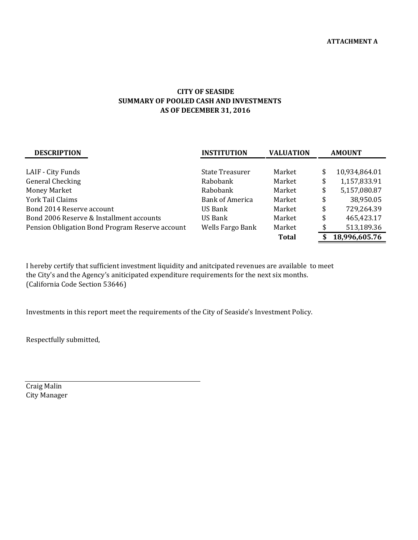## AS OF DECEMBER 31, 2016 CITY OF SEASIDE SUMMARY OF POOLED CASH AND INVESTMENTS

| <b>DESCRIPTION</b>                              | <b>INSTITUTION</b> | <b>VALUATION</b> | <b>AMOUNT</b>       |  |
|-------------------------------------------------|--------------------|------------------|---------------------|--|
|                                                 |                    |                  |                     |  |
| LAIF - City Funds                               | State Treasurer    | Market           | \$<br>10,934,864.01 |  |
| <b>General Checking</b>                         | Rabobank           | Market           | \$<br>1,157,833.91  |  |
| <b>Money Market</b>                             | Rabobank           | Market           | \$<br>5,157,080.87  |  |
| York Tail Claims                                | Bank of America    | Market           | \$<br>38,950.05     |  |
| Bond 2014 Reserve account                       | US Bank            | Market           | \$<br>729,264.39    |  |
| Bond 2006 Reserve & Installment accounts        | US Bank            | Market           | \$<br>465,423.17    |  |
| Pension Obligation Bond Program Reserve account | Wells Fargo Bank   | Market           | \$<br>513,189.36    |  |
|                                                 |                    | <b>Total</b>     | 18,996,605.76       |  |

I hereby certify that sufficient investment liquidity and anitcipated revenues are available to meet the City's and the Agency's aniticipated expenditure requirements for the next six months. (California Code Section 53646)

Investments in this report meet the requirements of the City of Seaside's Investment Policy.

Respectfully submitted,

Craig Malin City Manager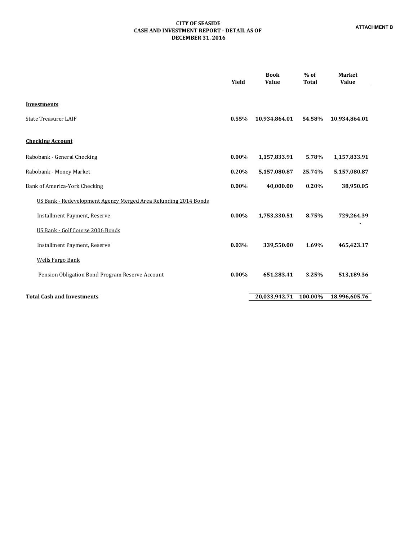## CITY OF SEASIDE CASH AND INVESTMENT REPORT - DETAIL AS OF DECEMBER 31, 2016

|                                                                 | Yield    | <b>Book</b><br><b>Value</b> | $%$ of<br><b>Total</b> | <b>Market</b><br><b>Value</b> |
|-----------------------------------------------------------------|----------|-----------------------------|------------------------|-------------------------------|
| <b>Investments</b><br><b>State Treasurer LAIF</b>               | 0.55%    | 10,934,864.01               | 54.58%                 | 10,934,864.01                 |
| <b>Checking Account</b>                                         |          |                             |                        |                               |
| Rabobank - General Checking                                     | $0.00\%$ | 1,157,833.91                | 5.78%                  | 1,157,833.91                  |
| Rabobank - Money Market                                         | 0.20%    | 5,157,080.87                | 25.74%                 | 5,157,080.87                  |
| Bank of America-York Checking                                   | $0.00\%$ | 40,000.00                   | 0.20%                  | 38,950.05                     |
| US Bank - Redevelopment Agency Merged Area Refunding 2014 Bonds |          |                             |                        |                               |
| <b>Installment Payment, Reserve</b>                             | $0.00\%$ | 1,753,330.51                | 8.75%                  | 729,264.39                    |
| US Bank - Golf Course 2006 Bonds                                |          |                             |                        |                               |
| <b>Installment Payment, Reserve</b>                             | 0.03%    | 339,550.00                  | 1.69%                  | 465,423.17                    |
| <b>Wells Fargo Bank</b>                                         |          |                             |                        |                               |
| Pension Obligation Bond Program Reserve Account                 | $0.00\%$ | 651,283.41                  | 3.25%                  | 513,189.36                    |
| <b>Total Cash and Investments</b>                               |          | 20,033,942.71               | 100.00%                | 18,996,605.76                 |